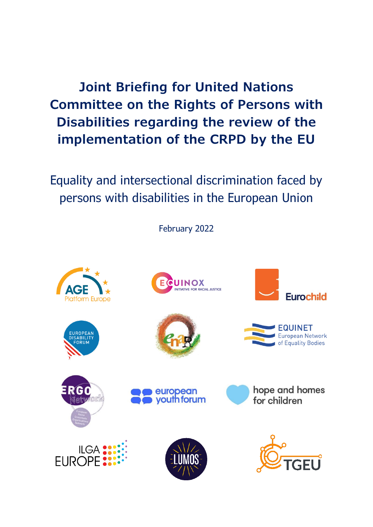**Joint Briefing for United Nations Committee on the Rights of Persons with Disabilities regarding the review of the implementation of the CRPD by the EU**

Equality and intersectional discrimination faced by persons with disabilities in the European Union

February 2022

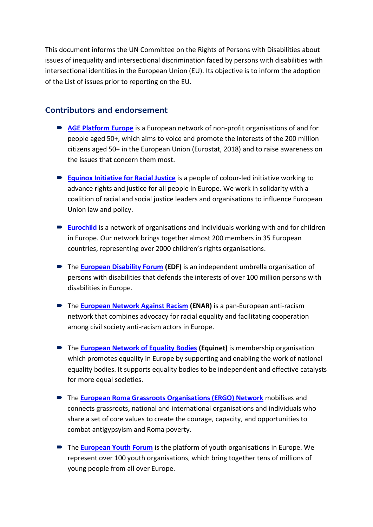This document informs the UN Committee on the Rights of Persons with Disabilities about issues of inequality and intersectional discrimination faced by persons with disabilities with intersectional identities in the European Union (EU). Its objective is to inform the adoption of the List of issues prior to reporting on the EU.

#### **Contributors and endorsement**

- **[AGE Platform Europe](https://www.age-platform.eu/)** is a European network of non-profit organisations of and for people aged 50+, which aims to voice and promote the interests of the 200 million citizens aged 50+ in the European Union (Eurostat, 2018) and to raise awareness on the issues that concern them most.
- **[Equinox Initiative for Racial Justice](https://www.equinox-eu.com/)** is a people of colour-led initiative working to advance rights and justice for all people in Europe. We work in solidarity with a coalition of racial and social justice leaders and organisations to influence European Union law and policy.
- **[Eurochild](https://www.eurochild.org/)** is a network of organisations and individuals working with and for children in Europe. Our network brings together almost 200 members in 35 European countries, representing over 2000 children's rights organisations.
- The **[European Disability Forum](https://www.edf-feph.org/) (EDF)** is an independent umbrella organisation of persons with disabilities that defends the interests of over 100 million persons with disabilities in Europe.
- The **[European Network Against Racism](https://www.enar-eu.org/) (ENAR)** is a pan-European anti-racism network that combines advocacy for racial equality and facilitating cooperation among civil society anti-racism actors in Europe.
- The **[European Network of Equality Bodies](https://equineteurope.org/) (Equinet)** is membership organisation which promotes equality in Europe by supporting and enabling the work of national equality bodies. It supports equality bodies to be independent and effective catalysts for more equal societies.
- The **[European Roma Grassroots Organisations \(ERGO\) Network](https://ergonetwork.org/)** mobilises and connects grassroots, national and international organisations and individuals who share a set of core values to create the courage, capacity, and opportunities to combat antigypsyism and Roma poverty.
- The **[European Youth Forum](https://www.youthforum.org/)** is the platform of youth organisations in Europe. We represent over 100 youth organisations, which bring together tens of millions of young people from all over Europe.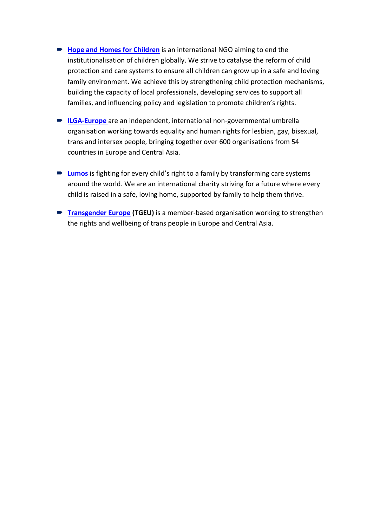- **[Hope and Homes for Children](https://www.hopeandhomes.org/)** is an international NGO aiming to end the institutionalisation of children globally. We strive to catalyse the reform of child protection and care systems to ensure all children can grow up in a safe and loving family environment. We achieve this by strengthening child protection mechanisms, building the capacity of local professionals, developing services to support all families, and influencing policy and legislation to promote children's rights.
- **[ILGA-Europe](https://www.ilga-europe.org/)** are an independent, international non-governmental umbrella organisation working towards equality and human rights for lesbian, gay, bisexual, trans and intersex people, bringing together over 600 organisations from 54 countries in Europe and Central Asia.
- **[Lumos](https://www.wearelumos.org/)** is fighting for every child's right to a family by transforming care systems around the world. We are an international charity striving for a future where every child is raised in a safe, loving home, supported by family to help them thrive.
- **[Transgender Europe](https://tgeu.org/) (TGEU)** is a member-based organisation working to strengthen the rights and wellbeing of trans people in Europe and Central Asia.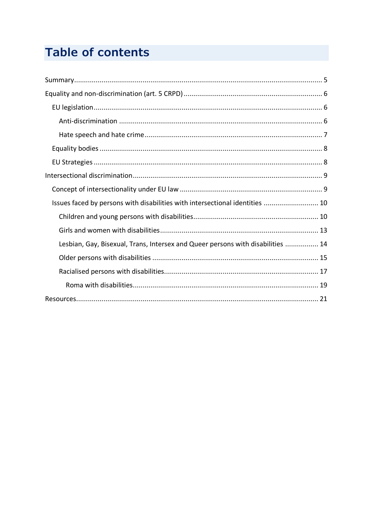# **Table of contents**

| Issues faced by persons with disabilities with intersectional identities  10    |  |
|---------------------------------------------------------------------------------|--|
|                                                                                 |  |
|                                                                                 |  |
| Lesbian, Gay, Bisexual, Trans, Intersex and Queer persons with disabilities  14 |  |
|                                                                                 |  |
|                                                                                 |  |
|                                                                                 |  |
|                                                                                 |  |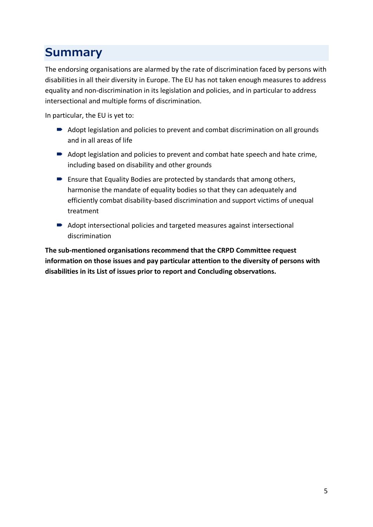# <span id="page-4-0"></span>**Summary**

The endorsing organisations are alarmed by the rate of discrimination faced by persons with disabilities in all their diversity in Europe. The EU has not taken enough measures to address equality and non-discrimination in its legislation and policies, and in particular to address intersectional and multiple forms of discrimination.

In particular, the EU is yet to:

- Adopt legislation and policies to prevent and combat discrimination on all grounds and in all areas of life
- Adopt legislation and policies to prevent and combat hate speech and hate crime, including based on disability and other grounds
- Ensure that Equality Bodies are protected by standards that among others, harmonise the mandate of equality bodies so that they can adequately and efficiently combat disability-based discrimination and support victims of unequal treatment
- Adopt intersectional policies and targeted measures against intersectional discrimination

**The sub-mentioned organisations recommend that the CRPD Committee request information on those issues and pay particular attention to the diversity of persons with disabilities in its List of issues prior to report and Concluding observations.**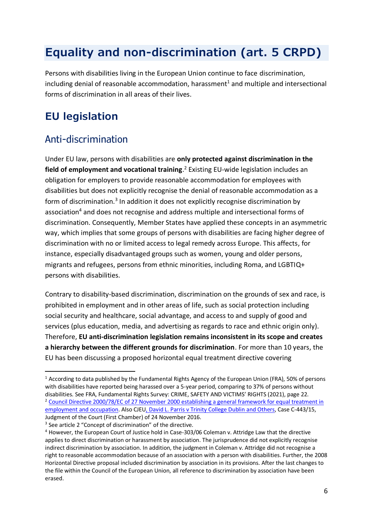# <span id="page-5-0"></span>**Equality and non-discrimination (art. 5 CRPD)**

Persons with disabilities living in the European Union continue to face discrimination, including denial of reasonable accommodation, harassment<sup>1</sup> and multiple and intersectional forms of discrimination in all areas of their lives.

# <span id="page-5-1"></span>**EU legislation**

### <span id="page-5-2"></span>Anti-discrimination

Under EU law, persons with disabilities are **only protected against discrimination in the field of employment and vocational training**. <sup>2</sup> Existing EU-wide legislation includes an obligation for employers to provide reasonable accommodation for employees with disabilities but does not explicitly recognise the denial of reasonable accommodation as a form of discrimination.<sup>3</sup> In addition it does not explicitly recognise discrimination by association<sup>4</sup> and does not recognise and address multiple and intersectional forms of discrimination. Consequently, Member States have applied these concepts in an asymmetric way, which implies that some groups of persons with disabilities are facing higher degree of discrimination with no or limited access to legal remedy across Europe. This affects, for instance, especially disadvantaged groups such as women, young and older persons, migrants and refugees, persons from ethnic minorities, including Roma, and LGBTIQ+ persons with disabilities.

Contrary to disability-based discrimination, discrimination on the grounds of sex and race, is prohibited in employment and in other areas of life, such as social protection including social security and healthcare, social advantage, and access to and supply of good and services (plus education, media, and advertising as regards to race and ethnic origin only). Therefore, **EU anti-discrimination legislation remains inconsistent in its scope and creates a hierarchy between the different grounds for discrimination**. For more than 10 years, the EU has been discussing a proposed horizontal equal treatment directive covering

<sup>&</sup>lt;sup>1</sup> According to data published by the Fundamental Rights Agency of the European Union (FRA), 50% of persons with disabilities have reported being harassed over a 5-year period, comparing to 37% of persons without disabilities. See FRA, Fundamental Rights Survey: CRIME, SAFETY AND VICTIMS' RIGHTS (2021), page 22. <sup>2</sup> Council Directive 2000/78/EC of 27 November 2000 establishing a general framework for equal treatment in [employment and occupation.](https://eur-lex.europa.eu/legal-content/EN/TXT/?uri=celex%3A32000L0078) Also CJE[U, David L. Parris v Trinity College Dublin](https://curia.europa.eu/juris/document/document.jsf?text=&docid=185565&pageIndex=0&doclang=EN&mode=lst&dir=&occ=first&part=1&cid=340131) and Others, Case C-443/15, Judgment of the Court (First Chamber) of 24 November 2016.

<sup>&</sup>lt;sup>3</sup> See article 2 "Concept of discrimination" of the directive.

<sup>4</sup> However, the European Court of Justice hold in Case-303/06 Coleman v. Attridge Law that the directive applies to direct discrimination or harassment by association. The jurisprudence did not explicitly recognise indirect discrimination by association. In addition, the judgment in Coleman v. Attridge did not recognise a right to reasonable accommodation because of an association with a person with disabilities. Further, the 2008 Horizontal Directive proposal included discrimination by association in its provisions. After the last changes to the file within the Council of the European Union, all reference to discrimination by association have been erased.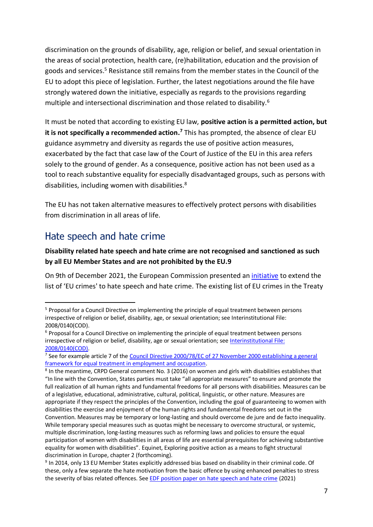discrimination on the grounds of disability, age, religion or belief, and sexual orientation in the areas of social protection, health care, (re)habilitation, education and the provision of goods and services. <sup>5</sup> Resistance still remains from the member states in the Council of the EU to adopt this piece of legislation. Further, the latest negotiations around the file have strongly watered down the initiative, especially as regards to the provisions regarding multiple and intersectional discrimination and those related to disability.<sup>6</sup>

It must be noted that according to existing EU law, **positive action is a permitted action, but it is not specifically a recommended action. <sup>7</sup>** This has prompted, the absence of clear EU guidance asymmetry and diversity as regards the use of positive action measures, exacerbated by the fact that case law of the Court of Justice of the EU in this area refers solely to the ground of gender. As a consequence, positive action has not been used as a tool to reach substantive equality for especially disadvantaged groups, such as persons with disabilities, including women with disabilities. $8$ 

The EU has not taken alternative measures to effectively protect persons with disabilities from discrimination in all areas of life.

### <span id="page-6-0"></span>Hate speech and hate crime

#### **Disability related hate speech and hate crime are not recognised and sanctioned as such by all EU Member States and are not prohibited by the EU.9**

On 9th of December 2021, the European Commission presented an [initiative](https://ec.europa.eu/info/files/communication-extending-eu-crimes-hate-speech-and-hate-crime_en) to extend the list of 'EU crimes' to hate speech and hate crime. The existing list of EU crimes in the Treaty

<sup>&</sup>lt;sup>5</sup> Proposal for a Council Directive on implementing the principle of equal treatment between persons irrespective of religion or belief, disability, age, or sexual orientation; see Interinstitutional File: 2008/0140(COD).

<sup>&</sup>lt;sup>6</sup> Proposal for a Council Directive on implementing the principle of equal treatment between persons irrespective of religion or belief, disability, age or sexual orientation; see [Interinstitutional File:](https://eur-lex.europa.eu/legal-content/EN/TXT/PDF/?uri=CONSIL:ST_10740_2019_INIT&from=EN)  [2008/0140\(COD\).](https://eur-lex.europa.eu/legal-content/EN/TXT/PDF/?uri=CONSIL:ST_10740_2019_INIT&from=EN)

<sup>&</sup>lt;sup>7</sup> See for example article 7 of the Council Directive 2000/78/EC of 27 November 2000 establishing a general [framework for equal treatment in employment and occupation.](https://eur-lex.europa.eu/legal-content/EN/TXT/?uri=celex%3A32000L0078)

<sup>&</sup>lt;sup>8</sup> In the meantime, CRPD General comment No. 3 (2016) on women and girls with disabilities establishes that "In line with the Convention, States parties must take "all appropriate measures" to ensure and promote the full realization of all human rights and fundamental freedoms for all persons with disabilities. Measures can be of a legislative, educational, administrative, cultural, political, linguistic, or other nature. Measures are appropriate if they respect the principles of the Convention, including the goal of guaranteeing to women with disabilities the exercise and enjoyment of the human rights and fundamental freedoms set out in the Convention. Measures may be temporary or long-lasting and should overcome de jure and de facto inequality. While temporary special measures such as quotas might be necessary to overcome structural, or systemic, multiple discrimination, long-lasting measures such as reforming laws and policies to ensure the equal participation of women with disabilities in all areas of life are essential prerequisites for achieving substantive equality for women with disabilities". Equinet, Exploring positive action as a means to fight structural discrimination in Europe, chapter 2 (forthcoming).

<sup>&</sup>lt;sup>9</sup> In 2014, only 13 EU Member States explicitly addressed bias based on disability in their criminal code. Of these, only a few separate the hate motivation from the basic offence by using enhanced penalties to stress the severity of bias related offences. See [EDF position paper on hate speech and hate crime](https://www.edf-feph.org/content/uploads/2021/04/EDF-position-and-recommendation-on-hate-speech-and-hate-crime.pdf) (2021)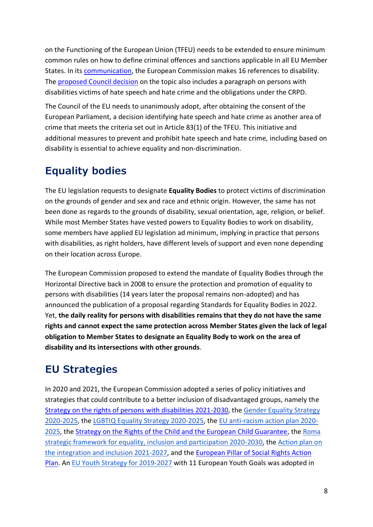on the Functioning of the European Union (TFEU) needs to be extended to ensure minimum common rules on how to define criminal offences and sanctions applicable in all EU Member States. In its [communication,](https://ec.europa.eu/info/files/communication-extending-eu-crimes-hate-speech-and-hate-crime_en) the European Commission makes 16 references to disability. The [proposed Council decision](https://ec.europa.eu/info/files/annex-extending-eu-crimes-hate-speech-and-hate-crime_en) on the topic also includes a paragraph on persons with disabilities victims of hate speech and hate crime and the obligations under the CRPD.

The Council of the EU needs to unanimously adopt, after obtaining the consent of the European Parliament, a decision identifying hate speech and hate crime as another area of crime that meets the criteria set out in Article 83(1) of the TFEU. This initiative and additional measures to prevent and prohibit hate speech and hate crime, including based on disability is essential to achieve equality and non-discrimination.

## <span id="page-7-0"></span>**Equality bodies**

The EU legislation requests to designate **Equality Bodies** to protect victims of discrimination on the grounds of gender and sex and race and ethnic origin. However, the same has not been done as regards to the grounds of disability, sexual orientation, age, religion, or belief. While most Member States have vested powers to Equality Bodies to work on disability, some members have applied EU legislation ad minimum, implying in practice that persons with disabilities, as right holders, have different levels of support and even none depending on their location across Europe.

The European Commission proposed to extend the mandate of Equality Bodies through the Horizontal Directive back in 2008 to ensure the protection and promotion of equality to persons with disabilities (14 years later the proposal remains non-adopted) and has announced the publication of a proposal regarding Standards for Equality Bodies in 2022. Yet, **the daily reality for persons with disabilities remains that they do not have the same rights and cannot expect the same protection across Member States given the lack of legal obligation to Member States to designate an Equality Body to work on the area of disability and its intersections with other grounds**.

## <span id="page-7-1"></span>**EU Strategies**

In 2020 and 2021, the European Commission adopted a series of policy initiatives and strategies that could contribute to a better inclusion of disadvantaged groups, namely the [Strategy on the rights of persons with disabilities 2021-2030,](https://ec.europa.eu/social/main.jsp?catId=738&langId=en&pubId=8376&furtherPubs=yes) th[e](https://ec.europa.eu/info/policies/justice-and-fundamental-rights/gender-equality/gender-equality-strategy_en) [Gender Equality Strategy](https://ec.europa.eu/info/policies/justice-and-fundamental-rights/gender-equality/gender-equality-strategy_en)  [2020-2025,](https://ec.europa.eu/info/policies/justice-and-fundamental-rights/gender-equality/gender-equality-strategy_en) th[e](https://ec.europa.eu/info/policies/justice-and-fundamental-rights/combatting-discrimination/lesbian-gay-bi-trans-and-intersex-equality/lgbtiq-equality-strategy-2020-2025_en) [LGBTIQ Equality Strategy 2020-2025,](https://ec.europa.eu/info/policies/justice-and-fundamental-rights/combatting-discrimination/lesbian-gay-bi-trans-and-intersex-equality/lgbtiq-equality-strategy-2020-2025_en) th[e](https://ec.europa.eu/info/files/union-equality-eu-action-plan-against-racism-2020-2025_en) [EU anti-racism action plan 2020-](https://ec.europa.eu/info/files/union-equality-eu-action-plan-against-racism-2020-2025_en) [2025,](https://ec.europa.eu/info/files/union-equality-eu-action-plan-against-racism-2020-2025_en) the [Strategy on the Rights of the Child and the European Child Guarantee,](https://ec.europa.eu/info/policies/justice-and-fundamental-rights/rights-child/eu-strategy-rights-childand-european-child-guarantee_e) th[e](https://ec.europa.eu/info/sites/default/files/eu_roma_strategic_framework_for_equality_inclusion_and_participation_for_2020_-_2030_0.pdf) [Roma](https://ec.europa.eu/info/sites/default/files/eu_roma_strategic_framework_for_equality_inclusion_and_participation_for_2020_-_2030_0.pdf)  [strategic framework for equality, inclusion and participation 2020-2030,](https://ec.europa.eu/info/sites/default/files/eu_roma_strategic_framework_for_equality_inclusion_and_participation_for_2020_-_2030_0.pdf) th[e](https://ec.europa.eu/home-affairs/sites/default/files/pdf/action_plan_on_integration_and_inclusion_2021-2027.pdf) [Action plan on](https://ec.europa.eu/home-affairs/sites/default/files/pdf/action_plan_on_integration_and_inclusion_2021-2027.pdf)  [the integration and inclusion 2021-2027,](https://ec.europa.eu/home-affairs/sites/default/files/pdf/action_plan_on_integration_and_inclusion_2021-2027.pdf) and the [European Pillar of Social Rights Action](https://ec.europa.eu/info/strategy/priorities-2019-2024/economy-works-people/jobs-growth-and-investment/european-pillar-social-rights/european-pillar-social-rights-action-plan/)  [Plan.](https://ec.europa.eu/info/strategy/priorities-2019-2024/economy-works-people/jobs-growth-and-investment/european-pillar-social-rights/european-pillar-social-rights-action-plan/) An [EU Youth Strategy for 2019-2027](https://eur-lex.europa.eu/legal-content/EN/TXT/?uri=OJ:C:2018:456:FULL) with 11 European Youth Goals was adopted in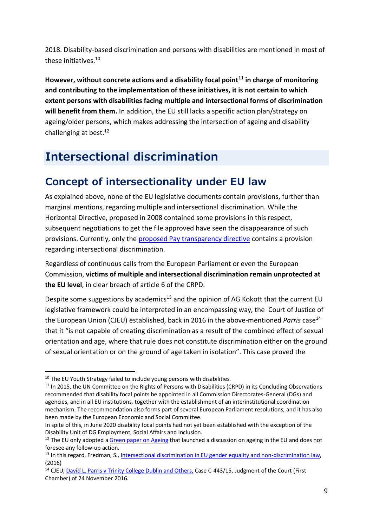2018. Disability-based discrimination and persons with disabilities are mentioned in most of these initiatives.<sup>10</sup>

**However, without concrete actions and a disability focal point<sup>11</sup> in charge of monitoring and contributing to the implementation of these initiatives, it is not certain to which extent persons with disabilities facing multiple and intersectional forms of discrimination will benefit from them.** In addition, the EU still lacks a specific action plan/strategy on ageing/older persons, which makes addressing the intersection of ageing and disability challenging at best.<sup>12</sup>

# <span id="page-8-0"></span>**Intersectional discrimination**

### <span id="page-8-1"></span>**Concept of intersectionality under EU law**

As explained above, none of the EU legislative documents contain provisions, further than marginal mentions, regarding multiple and intersectional discrimination. While the Horizontal Directive, proposed in 2008 contained some provisions in this respect, subsequent negotiations to get the file approved have seen the disappearance of such provisions. Currently, only the [proposed Pay transparency directive](https://ec.europa.eu/commission/presscorner/detail/en/ip_21_881) contains a provision regarding intersectional discrimination.

Regardless of continuous calls from the European Parliament or even the European Commission, **victims of multiple and intersectional discrimination remain unprotected at the EU level**, in clear breach of article 6 of the CRPD.

Despite some suggestions by academics<sup>13</sup> and the opinion of AG Kokott that the current EU legislative framework could be interpreted in an encompassing way, the Court of Justice of the European Union (CJEU) established, back in 2016 in the above-mentioned *Parris* case<sup>14</sup> that it "is not capable of creating discrimination as a result of the combined effect of sexual orientation and age, where that rule does not constitute discrimination either on the ground of sexual orientation or on the ground of age taken in isolation". This case proved the

<sup>&</sup>lt;sup>10</sup> The EU Youth Strategy failed to include young persons with disabilities.

<sup>&</sup>lt;sup>11</sup> In 2015, the UN Committee on the Rights of Persons with Disabilities (CRPD) in its Concluding Observations recommended that disability focal points be appointed in all Commission Directorates-General (DGs) and agencies, and in all EU institutions, together with the establishment of an interinstitutional coordination mechanism. The recommendation also forms part of several European Parliament resolutions, and it has also been made by the European Economic and Social Committee.

In spite of this, in June 2020 disability focal points had not yet been established with the exception of the Disability Unit of DG Employment, Social Affairs and Inclusion.

<sup>&</sup>lt;sup>12</sup> The EU only adopted [a Green paper on Ageing](https://ec.europa.eu/info/sites/default/files/1_en_act_part1_v8_0.pdf) that launched a discussion on ageing in the EU and does not foresee any follow-up action.

<sup>&</sup>lt;sup>13</sup> In this regard, Fredman, S.[, Intersectional discrimination in EU gender equality and non-discrimination law,](https://www.equalitylaw.eu/downloads/3850-intersectional-discrimination-in-eu-gender-equality-and-non-discrimination-law-pdf-731-kb) (2016)

<sup>&</sup>lt;sup>14</sup> CJEU[, David L. Parris v Trinity College Dublin and Others,](https://curia.europa.eu/juris/document/document.jsf?text=&docid=185565&pageIndex=0&doclang=EN&mode=lst&dir=&occ=first&part=1&cid=340131) Case C-443/15, Judgment of the Court (First Chamber) of 24 November 2016.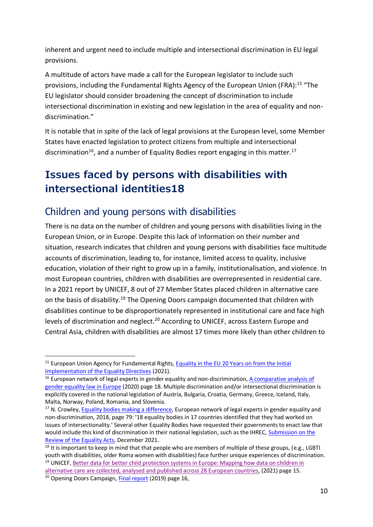inherent and urgent need to include multiple and intersectional discrimination in EU legal provisions.

A multitude of actors have made a call for the European legislator to include such provisions, including the Fundamental Rights Agency of the European Union (FRA):<sup>15</sup> "The EU legislator should consider broadening the concept of discrimination to include intersectional discrimination in existing and new legislation in the area of equality and nondiscrimination."

It is notable that in spite of the lack of legal provisions at the European level, some Member States have enacted legislation to protect citizens from multiple and intersectional discrimination<sup>16</sup>, and a number of Equality Bodies report engaging in this matter.<sup>17</sup>

## <span id="page-9-0"></span>**Issues faced by persons with disabilities with intersectional identities18**

### <span id="page-9-1"></span>Children and young persons with disabilities

There is no data on the number of children and young persons with disabilities living in the European Union, or in Europe. Despite this lack of information on their number and situation, research indicates that children and young persons with disabilities face multitude accounts of discrimination, leading to, for instance, limited access to quality, inclusive education, violation of their right to grow up in a family, institutionalisation, and violence. In most European countries, children with disabilities are overrepresented in residential care. In a 2021 report by UNICEF, 8 out of 27 Member States placed children in alternative care on the basis of disability.<sup>19</sup> The Opening Doors campaign documented that children with disabilities continue to be disproportionately represented in institutional care and face high levels of discrimination and neglect.<sup>20</sup> According to UNICEF, across Eastern Europe and Central Asia, children with disabilities are almost 17 times more likely than other children to

<sup>&</sup>lt;sup>15</sup> European Union Agency for Fundamental Rights, Equality in the EU 20 Years on from the Initial [Implementation of the Equality Directives](https://fra.europa.eu/sites/default/files/fra_uploads/fra-2021-opinion-equality-directives-01-2021_en.pdf) (2021).

 $16$  European network of legal experts in gender equality and non-discrimination, A comparative analysis of [gender equality law in Europe](https://op.europa.eu/en/publication-detail/-/publication/fc350c8a-b9e0-11eb-8aca-01aa75ed71a1) (2020) page 18. Multiple discrimination and/or intersectional discrimination is explicitly covered in the national legislation of Austria, Bulgaria, Croatia, Germany, Greece, Iceland, Italy, Malta, Norway, Poland, Romania, and Slovenia.

<sup>&</sup>lt;sup>17</sup> N. Crowley, [Equality bodies making a difference,](https://ec.europa.eu/info/sites/default/files/equality_bodies_making_a_difference.pdf) European network of legal experts in gender equality and non-discrimination, 2018, page 79: '18 equality bodies in 17 countries identified that they had worked on issues of intersectionality.' Several other Equality Bodies have requested their governments to enact law that would include this kind of discrimination in their national legislation, such as the IHREC, [Submission on the](https://www.ihrec.ie/app/uploads/2022/01/IHREC-Submission-on-the-Review-of-the-Equality-Acts.pdf)  [Review of the Equality Acts,](https://www.ihrec.ie/app/uploads/2022/01/IHREC-Submission-on-the-Review-of-the-Equality-Acts.pdf) December 2021.

<sup>&</sup>lt;sup>18</sup> It is important to keep in mind that that people who are members of multiple of these groups, (e.g., LGBTI youth with disabilities, older Roma women with disabilities) face further unique experiences of discrimination. <sup>19</sup> UNICEF, Better data for better child protection systems in Europe: Mapping how data on children in [alternative care are collected, analysed and published across 28 European countries,](https://eurochild.org/uploads/2022/02/UNICEF-DataCare-Technical-Report-Final.pdf) (2021) page 15.

<sup>&</sup>lt;sup>20</sup> Opening Doors Campaign[, Final report](https://www.openingdoors.eu/wp-content/uploads/2020/01/OD-lessons-learned.pdf) (2019) page 16,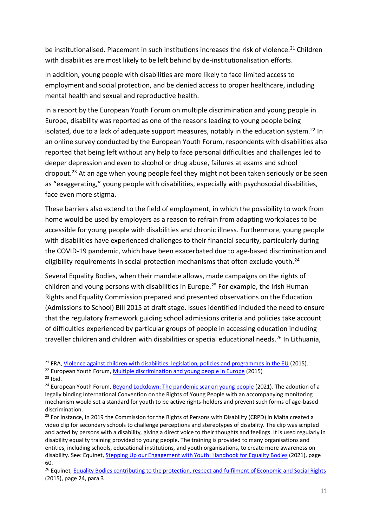be institutionalised. Placement in such institutions increases the risk of violence.<sup>21</sup> Children with disabilities are most likely to be left behind by de-institutionalisation efforts.

In addition, young people with disabilities are more likely to face limited access to employment and social protection, and be denied access to proper healthcare, including mental health and sexual and reproductive health.

In a report by the European Youth Forum on multiple discrimination and young people in Europe, disability was reported as one of the reasons leading to young people being isolated, due to a lack of adequate support measures, notably in the education system.<sup>22</sup> In an online survey conducted by the European Youth Forum, respondents with disabilities also reported that being left without any help to face personal difficulties and challenges led to deeper depression and even to alcohol or drug abuse, failures at exams and school dropout. <sup>23</sup> At an age when young people feel they might not been taken seriously or be seen as "exaggerating," young people with disabilities, especially with psychosocial disabilities, face even more stigma.

These barriers also extend to the field of employment, in which the possibility to work from home would be used by employers as a reason to refrain from adapting workplaces to be accessible for young people with disabilities and chronic illness. Furthermore, young people with disabilities have experienced challenges to their financial security, particularly during the COVID-19 pandemic, which have been exacerbated due to age-based discrimination and eligibility requirements in social protection mechanisms that often exclude youth.<sup>24</sup>

Several Equality Bodies, when their mandate allows, made campaigns on the rights of children and young persons with disabilities in Europe.<sup>25</sup> For example, the Irish Human Rights and Equality Commission prepared and presented observations on the Education (Admissions to School) Bill 2015 at draft stage. Issues identified included the need to ensure that the regulatory framework guiding school admissions criteria and policies take account of difficulties experienced by particular groups of people in accessing education including traveller children and children with disabilities or special educational needs.<sup>26</sup> In Lithuania,

 $23$  Ibid.

<sup>&</sup>lt;sup>21</sup> FRA[, Violence against children with disabilities: legislation, policies and programmes in the EU](https://fra.europa.eu/sites/default/files/fra_uploads/fra-2015-violence-against-children-with-disabilities_en.pdf) (2015).

<sup>&</sup>lt;sup>22</sup> European Youth Forum, [Multiple discrimination and young people in Europe](https://tools.youthforum.org/policy-library/wp-content/uploads/2021/04/Multiple-discrimination-and-young-people-in-Europe.pdf) (2015)

<sup>&</sup>lt;sup>24</sup> European Youth Forum, [Beyond Lockdown: The pandemic scar on young people](https://www.youthforum.org/news/beyond-lockdown-the-pandemic-scar-on-young-people) (2021). The adoption of a legally binding International Convention on the Rights of Young People with an accompanying monitoring mechanism would set a standard for youth to be active rights-holders and prevent such forms of age-based discrimination.

<sup>&</sup>lt;sup>25</sup> For instance, in 2019 the Commission for the Rights of Persons with Disability (CRPD) in Malta created a video clip for secondary schools to challenge perceptions and stereotypes of disability. The clip was scripted and acted by persons with a disability, giving a direct voice to their thoughts and feelings. It is used regularly in disability equality training provided to young people. The training is provided to many organisations and entities, including schools, educational institutions, and youth organisations, to create more awareness on disability. See: Equinet[, Stepping Up our Engagement with Youth: Handbook for Equality Bodies](https://equineteurope.org/wp-content/uploads/2021/09/equinet_youth-handbook_web_01.pdf) (2021), page 60.

<sup>&</sup>lt;sup>26</sup> Equinet, [Equality Bodies contributing to the protection, respect and fulfilment](https://equineteurope.org/wp-content/uploads/2016/02/economic_and_social_rights_electronic.pdf) of Economic and Social Rights (2015), page 24, para 3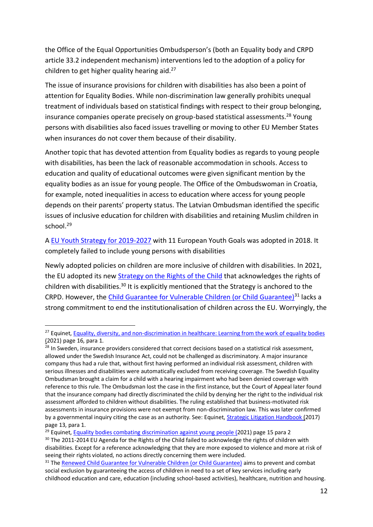the Office of the Equal Opportunities Ombudsperson's (both an Equality body and CRPD article 33.2 independent mechanism) interventions led to the adoption of a policy for children to get higher quality hearing aid. $27$ 

The issue of insurance provisions for children with disabilities has also been a point of attention for Equality Bodies. While non-discrimination law generally prohibits unequal treatment of individuals based on statistical findings with respect to their group belonging, insurance companies operate precisely on group-based statistical assessments.<sup>28</sup> Young persons with disabilities also faced issues travelling or moving to other EU Member States when insurances do not cover them because of their disability.

Another topic that has devoted attention from Equality bodies as regards to young people with disabilities, has been the lack of reasonable accommodation in schools. Access to education and quality of educational outcomes were given significant mention by the equality bodies as an issue for young people. The Office of the Ombudswoman in Croatia, for example, noted inequalities in access to education where access for young people depends on their parents' property status. The Latvian Ombudsman identified the specific issues of inclusive education for children with disabilities and retaining Muslim children in school.<sup>29</sup>

A [EU Youth Strategy for 2019-2027](https://eur-lex.europa.eu/legal-content/EN/TXT/?uri=OJ:C:2018:456:FULL) with 11 European Youth Goals was adopted in 2018. It completely failed to include young persons with disabilities

Newly adopted policies on children are more inclusive of children with disabilities. In 2021, the EU adopted its new [Strategy on the Rights of the Child](https://ec.europa.eu/info/policies/justice-and-fundamental-rights/rights-child/eu-strategy-rights-child-and-european-child-guarantee_en) that acknowledges the rights of children with disabilities.<sup>30</sup> It is explicitly mentioned that the Strategy is anchored to the CRPD. However, the [Child Guarantee for Vulnerable Children \(or Child Guarantee\)](https://ec.europa.eu/social/main.jsp?catId=1428&langId=en)<sup>31</sup> lacks a strong commitment to end the institutionalisation of children across the EU. Worryingly, the

<sup>&</sup>lt;sup>27</sup> Equinet, [Equality, diversity, and non-discrimination in healthcare: Learning from the work of equality bodies](https://equineteurope.org/wp-content/uploads/2021/06/Health-Perspective.pdf) [\(2021\)](https://equineteurope.org/wp-content/uploads/2021/06/Health-Perspective.pdf) page 16, para 1.

<sup>&</sup>lt;sup>28</sup> In Sweden, insurance providers considered that correct decisions based on a statistical risk assessment, allowed under the Swedish Insurance Act, could not be challenged as discriminatory. A major insurance company thus had a rule that, without first having performed an individual risk assessment, children with serious illnesses and disabilities were automatically excluded from receiving coverage. The Swedish Equality Ombudsman brought a claim for a child with a hearing impairment who had been denied coverage with reference to this rule. The Ombudsman lost the case in the first instance, but the Court of Appeal later found that the insurance company had directly discriminated the child by denying her the right to the individual risk assessment afforded to children without disabilities. The ruling established that business-motivated risk assessments in insurance provisions were not exempt from non-discrimination law. This was later confirmed by a governmental inquiry citing the case as an authority. See: Equinet, [Strategic Litigation Handbook](https://equineteurope.org/publications/strategic-litigation-handbook/) (2017) page 13, para 1.

<sup>&</sup>lt;sup>29</sup> Equinet, [Equality bodies combating discrimination against young people](https://equineteurope.org/wp-content/uploads/2018/01/young_people_perspective_web.2.pdf) (2021) page 15 para 2 <sup>30</sup> The 2011-2014 EU Agenda for the Rights of the Child failed to acknowledge the rights of children with disabilities. Except for a reference acknowledging that they are more exposed to violence and more at risk of seeing their rights violated, no actions directly concerning them were included.

<sup>&</sup>lt;sup>31</sup> Th[e Renewed Child Guarantee for Vulnerable Children \(or Child Guarantee\)](https://ec.europa.eu/social/main.jsp?catId=1428&langId=en) aims to prevent and combat social exclusion by guaranteeing the access of children in need to a set of key services including early childhood education and care, education (including school-based activities), healthcare, nutrition and housing.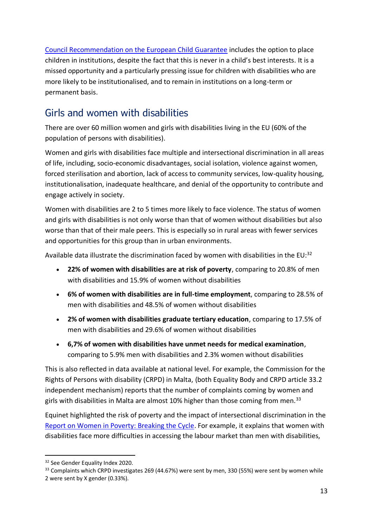[Council Recommendation on the European Child Guarantee](https://eur-lex.europa.eu/legal-content/EN/ALL/?uri=COM:2021:137:FIN) includes the option to place children in institutions, despite the fact that this is never in a child's best interests. It is a missed opportunity and a particularly pressing issue for children with disabilities who are more likely to be institutionalised, and to remain in institutions on a long-term or permanent basis.

### <span id="page-12-0"></span>Girls and women with disabilities

There are over 60 million women and girls with disabilities living in the EU (60% of the population of persons with disabilities).

Women and girls with disabilities face multiple and intersectional discrimination in all areas of life, including, socio-economic disadvantages, social isolation, violence against women, forced sterilisation and abortion, lack of access to community services, low-quality housing, institutionalisation, inadequate healthcare, and denial of the opportunity to contribute and engage actively in society.

Women with disabilities are 2 to 5 times more likely to face violence. The status of women and girls with disabilities is not only worse than that of women without disabilities but also worse than that of their male peers. This is especially so in rural areas with fewer services and opportunities for this group than in urban environments.

Available data illustrate the discrimination faced by women with disabilities in the EU:<sup>32</sup>

- **22% of women with disabilities are at risk of poverty**, comparing to 20.8% of men with disabilities and 15.9% of women without disabilities
- **6% of women with disabilities are in full-time employment**, comparing to 28.5% of men with disabilities and 48.5% of women without disabilities
- **2% of women with disabilities graduate tertiary education**, comparing to 17.5% of men with disabilities and 29.6% of women without disabilities
- **6,7% of women with disabilities have unmet needs for medical examination**, comparing to 5.9% men with disabilities and 2.3% women without disabilities

This is also reflected in data available at national level. For example, the Commission for the Rights of Persons with disability (CRPD) in Malta, (both Equality Body and CRPD article 33.2 independent mechanism) reports that the number of complaints coming by women and girls with disabilities in Malta are almost 10% higher than those coming from men.<sup>33</sup>

Equinet highlighted the risk of poverty and the impact of intersectional discrimination in the [Report on Women in Poverty: Breaking the Cycle.](https://equineteurope.org/wp-content/uploads/2021/01/Women-in-Poverty-digital.pdf) For example, it explains that women with disabilities face more difficulties in accessing the labour market than men with disabilities,

<sup>&</sup>lt;sup>32</sup> See Gender Equality Index 2020.

<sup>&</sup>lt;sup>33</sup> Complaints which CRPD investigates 269 (44.67%) were sent by men, 330 (55%) were sent by women while 2 were sent by X gender (0.33%).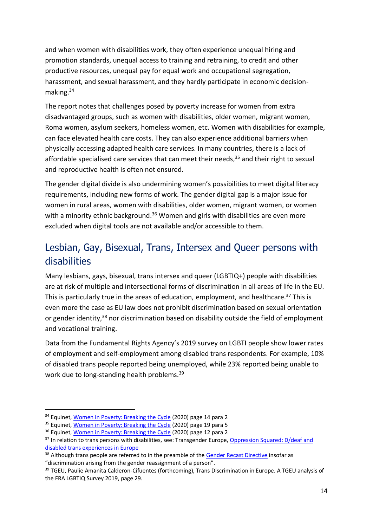and when women with disabilities work, they often experience unequal hiring and promotion standards, unequal access to training and retraining, to credit and other productive resources, unequal pay for equal work and occupational segregation, harassment, and sexual harassment, and they hardly participate in economic decisionmaking.<sup>34</sup>

The report notes that challenges posed by poverty increase for women from extra disadvantaged groups, such as women with disabilities, older women, migrant women, Roma women, asylum seekers, homeless women, etc. Women with disabilities for example, can face elevated health care costs. They can also experience additional barriers when physically accessing adapted health care services. In many countries, there is a lack of affordable specialised care services that can meet their needs, <sup>35</sup> and their right to sexual and reproductive health is often not ensured.

The gender digital divide is also undermining women's possibilities to meet digital literacy requirements, including new forms of work. The gender digital gap is a major issue for women in rural areas, women with disabilities, older women, migrant women, or women with a minority ethnic background.<sup>36</sup> Women and girls with disabilities are even more excluded when digital tools are not available and/or accessible to them.

### <span id="page-13-0"></span>Lesbian, Gay, Bisexual, Trans, Intersex and Queer persons with disabilities

Many lesbians, gays, bisexual, trans intersex and queer (LGBTIQ+) people with disabilities are at risk of multiple and intersectional forms of discrimination in all areas of life in the EU. This is particularly true in the areas of education, employment, and healthcare.<sup>37</sup> This is even more the case as EU law does not prohibit discrimination based on sexual orientation or gender identity,<sup>38</sup> nor discrimination based on disability outside the field of employment and vocational training.

Data from the Fundamental Rights Agency's 2019 survey on LGBTI people show lower rates of employment and self-employment among disabled trans respondents. For example, 10% of disabled trans people reported being unemployed, while 23% reported being unable to work due to long-standing health problems.<sup>39</sup>

<sup>&</sup>lt;sup>34</sup> Equinet, [Women in Poverty: Breaking the Cycle](https://equineteurope.org/wp-content/uploads/2021/01/Women-in-Poverty-digital.pdf) (2020) page 14 para 2

<sup>&</sup>lt;sup>35</sup> Equinet, [Women in Poverty: Breaking the Cycle](https://equineteurope.org/wp-content/uploads/2021/01/Women-in-Poverty-digital.pdf) (2020) page 19 para 5

<sup>&</sup>lt;sup>36</sup> Equinet, [Women in Poverty: Breaking the Cycle](https://equineteurope.org/wp-content/uploads/2021/01/Women-in-Poverty-digital.pdf) (2020) page 12 para 2

<sup>&</sup>lt;sup>37</sup> In relation to trans persons with disabilities, see: Transgender Europe, Oppression Squared: D/deaf and [disabled trans experiences in Europe](https://tgeu.org/wp-content/uploads/2018/02/Oppression-Squared.pdf)

<sup>&</sup>lt;sup>38</sup> Although trans people are referred to in the preamble of the [Gender Recast Directive](https://eur-lex.europa.eu/legal-content/EN/TXT/?uri=celex%3A32006L0054) insofar as "discrimination arising from the gender reassignment of a person".

<sup>&</sup>lt;sup>39</sup> TGEU, Paulie Amanita Calderon-Cifuentes (forthcoming), Trans Discrimination in Europe. A TGEU analysis of the FRA LGBTIQ Survey 2019, page 29.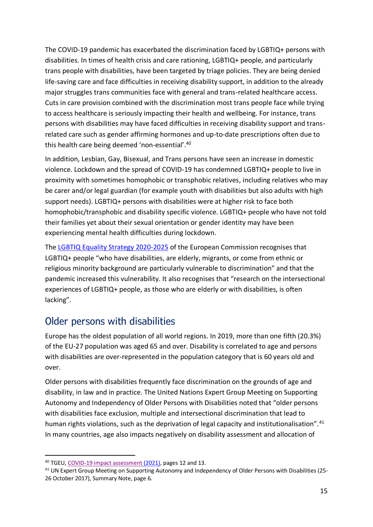The COVID-19 pandemic has exacerbated the discrimination faced by LGBTIQ+ persons with disabilities. In times of health crisis and care rationing, LGBTIQ+ people, and particularly trans people with disabilities, have been targeted by triage policies. They are being denied life-saving care and face difficulties in receiving disability support, in addition to the already major struggles trans communities face with general and trans-related healthcare access. Cuts in care provision combined with the discrimination most trans people face while trying to access healthcare is seriously impacting their health and wellbeing. For instance, trans persons with disabilities may have faced difficulties in receiving disability support and transrelated care such as gender affirming hormones and up-to-date prescriptions often due to this health care being deemed 'non-essential'.<sup>40</sup>

In addition, Lesbian, Gay, Bisexual, and Trans persons have seen an increase in domestic violence. Lockdown and the spread of COVID-19 has condemned LGBTIQ+ people to live in proximity with sometimes homophobic or transphobic relatives, including relatives who may be carer and/or legal guardian (for example youth with disabilities but also adults with high support needs). LGBTIQ+ persons with disabilities were at higher risk to face both homophobic/transphobic and disability specific violence. LGBTIQ+ people who have not told their families yet about their sexual orientation or gender identity may have been experiencing mental health difficulties during lockdown.

The [LGBTIQ Equality Strategy 2020-2025](https://ec.europa.eu/info/sites/default/files/lgbtiq_strategy_2020-2025_en.pdf) of the European Commission recognises that LGBTIQ+ people "who have disabilities, are elderly, migrants, or come from ethnic or religious minority background are particularly vulnerable to discrimination" and that the pandemic increased this vulnerability. It also recognises that "research on the intersectional experiences of LGBTIQ+ people, as those who are elderly or with disabilities, is often lacking".

#### <span id="page-14-0"></span>Older persons with disabilities

Europe has the oldest population of all world regions. In 2019, more than one fifth (20.3%) of the EU-27 population was aged 65 and over. Disability is correlated to age and persons with disabilities are over-represented in the population category that is 60 years old and over.

Older persons with disabilities frequently face discrimination on the grounds of age and disability, in law and in practice. The United Nations Expert Group Meeting on Supporting Autonomy and Independency of Older Persons with Disabilities noted that "older persons with disabilities face exclusion, multiple and intersectional discrimination that lead to human rights violations, such as the deprivation of legal capacity and institutionalisation".<sup>41</sup> In many countries, age also impacts negatively on disability assessment and allocation of

<sup>&</sup>lt;sup>40</sup> TGEU, [COVID-19 impact assessment](https://tgeu.org/wp-content/uploads/2021/01/impact-assessment-covid19-and-trans-people-in-europe-and-central-asia.pdf) (2021), pages 12 and 13.

<sup>&</sup>lt;sup>41</sup> UN Expert Group Meeting on Supporting Autonomy and Independency of Older Persons with Disabilities (25-26 October 2017), Summary Note, page 6.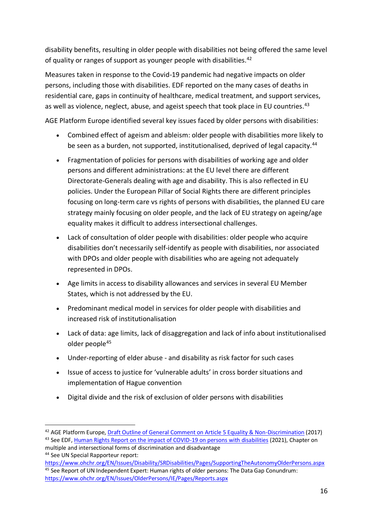disability benefits, resulting in older people with disabilities not being offered the same level of quality or ranges of support as younger people with disabilities.<sup>42</sup>

Measures taken in response to the Covid-19 pandemic had negative impacts on older persons, including those with disabilities. EDF reported on the many cases of deaths in residential care, gaps in continuity of healthcare, medical treatment, and support services, as well as violence, neglect, abuse, and ageist speech that took place in EU countries.<sup>43</sup>

AGE Platform Europe identified several key issues faced by older persons with disabilities:

- Combined effect of ageism and ableism: older people with disabilities more likely to be seen as a burden, not supported, institutionalised, deprived of legal capacity.<sup>44</sup>
- Fragmentation of policies for persons with disabilities of working age and older persons and different administrations: at the EU level there are different Directorate-Generals dealing with age and disability. This is also reflected in EU policies. Under the European Pillar of Social Rights there are different principles focusing on long-term care vs rights of persons with disabilities, the planned EU care strategy mainly focusing on older people, and the lack of EU strategy on ageing/age equality makes it difficult to address intersectional challenges.
- Lack of consultation of older people with disabilities: older people who acquire disabilities don't necessarily self-identify as people with disabilities, nor associated with DPOs and older people with disabilities who are ageing not adequately represented in DPOs.
- Age limits in access to disability allowances and services in several EU Member States, which is not addressed by the EU.
- Predominant medical model in services for older people with disabilities and increased risk of institutionalisation
- Lack of data: age limits, lack of disaggregation and lack of info about institutionalised older people<sup>45</sup>
- Under-reporting of elder abuse and disability as risk factor for such cases
- Issue of access to justice for 'vulnerable adults' in cross border situations and implementation of Hague convention
- Digital divide and the risk of exclusion of older persons with disabilities

<sup>42</sup> AGE Platform Europe[, Draft Outline of General Comment on Article 5 Equality & Non-Discrimination](https://www.age-platform.eu/sites/default/files/AGE_input_Draft_GCArt5_CRPD.pdf) (2017) <sup>43</sup> See EDF[, Human Rights Report on the impact of COVID-19 on persons with disabilities](https://www.edf-feph.org/publications/human-rights-report-2021-impact-of-covid19-on-persons-with-disabilities/) (2021), Chapter on multiple and intersectional forms of discrimination and disadvantage

<sup>44</sup> See UN Special Rapporteur report:

<https://www.ohchr.org/EN/Issues/Disability/SRDisabilities/Pages/SupportingTheAutonomyOlderPersons.aspx> <sup>45</sup> See Report of UN Independent Expert: Human rights of older persons: The Data Gap Conundrum: <https://www.ohchr.org/EN/Issues/OlderPersons/IE/Pages/Reports.aspx>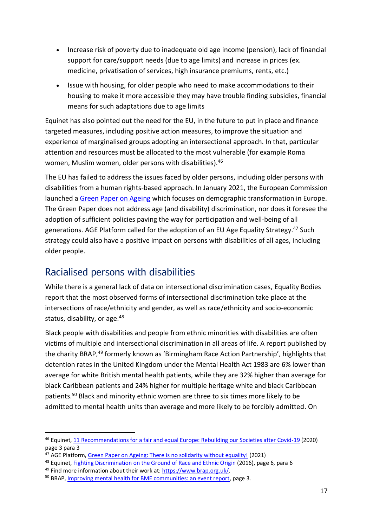- Increase risk of poverty due to inadequate old age income (pension), lack of financial support for care/support needs (due to age limits) and increase in prices (ex. medicine, privatisation of services, high insurance premiums, rents, etc.)
- Issue with housing, for older people who need to make accommodations to their housing to make it more accessible they may have trouble finding subsidies, financial means for such adaptations due to age limits

Equinet has also pointed out the need for the EU, in the future to put in place and finance targeted measures, including positive action measures, to improve the situation and experience of marginalised groups adopting an intersectional approach. In that, particular attention and resources must be allocated to the most vulnerable (for example Roma women, Muslim women, older persons with disabilities).<sup>46</sup>

The EU has failed to address the issues faced by older persons, including older persons with disabilities from a human rights-based approach. In January 2021, the European Commission launched a [Green Paper on Ageing](https://ec.europa.eu/info/sites/default/files/1_en_act_part1_v8_0.pdf) which focuses on demographic transformation in Europe. The Green Paper does not address age (and disability) discrimination, nor does it foresee the adoption of sufficient policies paving the way for participation and well-being of all generations. AGE Platform called for the adoption of an EU Age Equality Strategy.<sup>47</sup> Such strategy could also have a positive impact on persons with disabilities of all ages, including older people.

### <span id="page-16-0"></span>Racialised persons with disabilities

While there is a general lack of data on intersectional discrimination cases, Equality Bodies report that the most observed forms of intersectional discrimination take place at the intersections of race/ethnicity and gender, as well as race/ethnicity and socio-economic status, disability, or age.<sup>48</sup>

Black people with disabilities and people from ethnic minorities with disabilities are often victims of multiple and intersectional discrimination in all areas of life. A report published by the charity BRAP, <sup>49</sup> formerly known as 'Birmingham Race Action Partnership', highlights that detention rates in the United Kingdom under the Mental Health Act 1983 are 6% lower than average for white British mental health patients, while they are 32% higher than average for black Caribbean patients and 24% higher for multiple heritage white and black Caribbean patients.<sup>50</sup> Black and minority ethnic women are three to six times more likely to be admitted to mental health units than average and more likely to be forcibly admitted. On

<sup>46</sup> Equinet, [11 Recommendations for a fair and equal Europe: Rebuilding our Societies after Covid-19](https://equineteurope.org/wp-content/uploads/2020/06/equinet_rebuilding-recommendation_A4_03-web.pdf) (2020) page 3 para 3

<sup>&</sup>lt;sup>47</sup> AGE Platform[, Green Paper on Ageing: There is no solidarity without equality!](https://www.age-platform.eu/press-releases/green-paper-ageing-there-no-solidarity-without-equality) (2021)

<sup>48</sup> Equinet, [Fighting Discrimination on the Ground of Race and Ethnic Origin](https://equineteurope.org/wp-content/uploads/2017/02/equinet_discussion_paper_final_-_web-2.pdf) (2016), page 6, para 6

<sup>49</sup> Find more information about their work at[: https://www.brap.org.uk/.](https://www.brap.org.uk/)

<sup>&</sup>lt;sup>50</sup> BRAP[, Improving mental health for BME communities: an event report,](https://docs.wixstatic.com/ugd/27aa99_a45774f42cb040a7a4d6e0a132559170.pdf?index=true) page 3.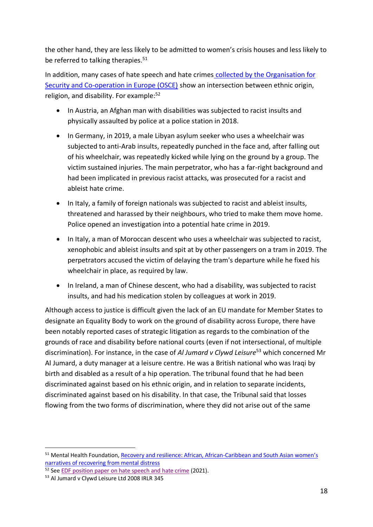the other hand, they are less likely to be admitted to women's crisis houses and less likely to be referred to talking therapies.<sup>51</sup>

In addition, many cases of hate speech and hate crimes [collected by the Organisation for](https://hatecrime.osce.org/hate-crime-data)  [Security and Co-operation in Europe \(OSCE\)](https://hatecrime.osce.org/hate-crime-data) show an intersection between ethnic origin, religion, and disability. For example: $52$ 

- In Austria, an Afghan man with disabilities was subjected to racist insults and physically assaulted by police at a police station in 2018.
- In Germany, in 2019, a male Libyan asylum seeker who uses a wheelchair was subjected to anti-Arab insults, repeatedly punched in the face and, after falling out of his wheelchair, was repeatedly kicked while lying on the ground by a group. The victim sustained injuries. The main perpetrator, who has a far-right background and had been implicated in previous racist attacks, was prosecuted for a racist and ableist hate crime.
- In Italy, a family of foreign nationals was subjected to racist and ableist insults, threatened and harassed by their neighbours, who tried to make them move home. Police opened an investigation into a potential hate crime in 2019.
- In Italy, a man of Moroccan descent who uses a wheelchair was subjected to racist, xenophobic and ableist insults and spit at by other passengers on a tram in 2019. The perpetrators accused the victim of delaying the tram's departure while he fixed his wheelchair in place, as required by law.
- In Ireland, a man of Chinese descent, who had a disability, was subjected to racist insults, and had his medication stolen by colleagues at work in 2019.

Although access to justice is difficult given the lack of an EU mandate for Member States to designate an Equality Body to work on the ground of disability across Europe, there have been notably reported cases of strategic litigation as regards to the combination of the grounds of race and disability before national courts (even if not intersectional, of multiple discrimination). For instance, in the case of *Al Jumard v Clywd Leisure*<sup>53</sup> which concerned Mr Al Jumard, a duty manager at a leisure centre. He was a British national who was Iraqi by birth and disabled as a result of a hip operation. The tribunal found that he had been discriminated against based on his ethnic origin, and in relation to separate incidents, discriminated against based on his disability. In that case, the Tribunal said that losses flowing from the two forms of discrimination, where they did not arise out of the same

<sup>51</sup> Mental Health Foundation, [Recovery and resilience: African, African-](https://www.mentalhealth.org.uk/sites/default/files/recovery_and_resilience.pdf)Caribbean and South Asian women's [narratives of recovering from mental distress](https://www.mentalhealth.org.uk/sites/default/files/recovery_and_resilience.pdf)

<sup>&</sup>lt;sup>52</sup> Se[e EDF position paper on hate speech and hate crime](https://www.edf-feph.org/content/uploads/2021/04/EDF-position-and-recommendation-on-hate-speech-and-hate-crime.pdf) (2021).

<sup>53</sup> Al Jumard v Clywd Leisure Ltd 2008 IRLR 345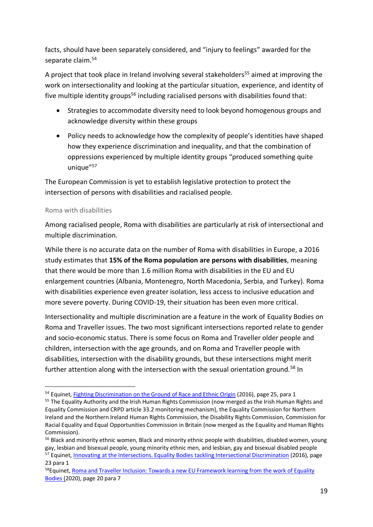facts, should have been separately considered, and "injury to feelings" awarded for the separate claim.<sup>54</sup>

A project that took place in Ireland involving several stakeholders<sup>55</sup> aimed at improving the work on intersectionality and looking at the particular situation, experience, and identity of five multiple identity groups<sup>56</sup> including racialised persons with disabilities found that:

- Strategies to accommodate diversity need to look beyond homogenous groups and acknowledge diversity within these groups
- Policy needs to acknowledge how the complexity of people's identities have shaped how they experience discrimination and inequality, and that the combination of oppressions experienced by multiple identity groups "produced something quite unique"<sup>57</sup>

The European Commission is yet to establish legislative protection to protect the intersection of persons with disabilities and racialised people.

#### <span id="page-18-0"></span>Roma with disabilities

Among racialised people, Roma with disabilities are particularly at risk of intersectional and multiple discrimination.

While there is no accurate data on the number of Roma with disabilities in Europe, a 2016 study estimates that **15% of the Roma population are persons with disabilities**, meaning that there would be more than 1.6 million Roma with disabilities in the EU and EU enlargement countries (Albania, Montenegro, North Macedonia, Serbia, and Turkey). Roma with disabilities experience even greater isolation, less access to inclusive education and more severe poverty. During COVID-19, their situation has been even more critical.

Intersectionality and multiple discrimination are a feature in the work of Equality Bodies on Roma and Traveller issues. The two most significant intersections reported relate to gender and socio-economic status. There is some focus on Roma and Traveller older people and children, intersection with the age grounds, and on Roma and Traveller people with disabilities, intersection with the disability grounds, but these intersections might merit further attention along with the intersection with the sexual orientation ground.<sup>58</sup> In

<sup>&</sup>lt;sup>54</sup> Equinet, [Fighting Discrimination on the Ground of Race and Ethnic Origin](https://equineteurope.org/wp-content/uploads/2017/02/equinet_discussion_paper_final_-_web-2.pdf) (2016), page 25, para 1

<sup>&</sup>lt;sup>55</sup> The Equality Authority and the Irish Human Rights Commission (now merged as the Irish Human Rights and Equality Commission and CRPD article 33.2 monitoring mechanism), the Equality Commission for Northern Ireland and the Northern Ireland Human Rights Commission, the Disability Rights Commission, Commission for Racial Equality and Equal Opportunities Commission in Britain (now merged as the Equality and Human Rights Commission).

<sup>&</sup>lt;sup>56</sup> Black and minority ethnic women, Black and minority ethnic people with disabilities, disabled women, young gay, lesbian and bisexual people, young minority ethnic men, and lesbian, gay and bisexual disabled people <sup>57</sup> Equinet, [Innovating at the Intersections. Equality Bodies tackling Intersectional Discrimination](https://equineteurope.org/wp-content/uploads/2018/01/equinet_perspective_2016_-_intersectionality_final_web.pdf) (2016), page

<sup>23</sup> para 1

<sup>&</sup>lt;sup>58</sup> Equinet, Roma and Traveller Inclusion: Towards a new EU Framework learning from the work of Equality [Bodies](https://equineteurope.org/wp-content/uploads/2020/07/Roma_Traveller-Inclusion_Equality-Bodies.pdf) (2020), page 20 para 7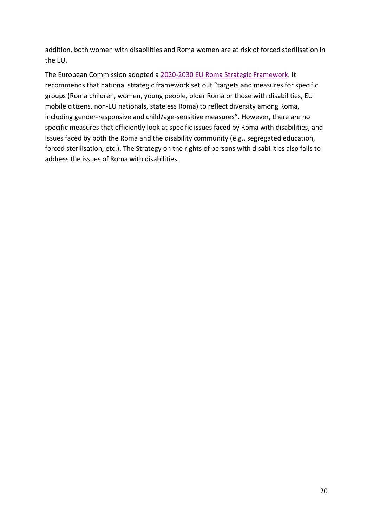addition, both women with disabilities and Roma women are at risk of forced sterilisation in the EU.

The European Commission adopted a [2020-2030 EU Roma Strategic Framework.](https://ec.europa.eu/info/publications/new-eu-roma-strategic-framework-equality-inclusion-and-participation-full-package_en) It recommends that national strategic framework set out "targets and measures for specific groups (Roma children, women, young people, older Roma or those with disabilities, EU mobile citizens, non-EU nationals, stateless Roma) to reflect diversity among Roma, including gender-responsive and child/age-sensitive measures". However, there are no specific measures that efficiently look at specific issues faced by Roma with disabilities, and issues faced by both the Roma and the disability community (e.g., segregated education, forced sterilisation, etc.). The Strategy on the rights of persons with disabilities also fails to address the issues of Roma with disabilities.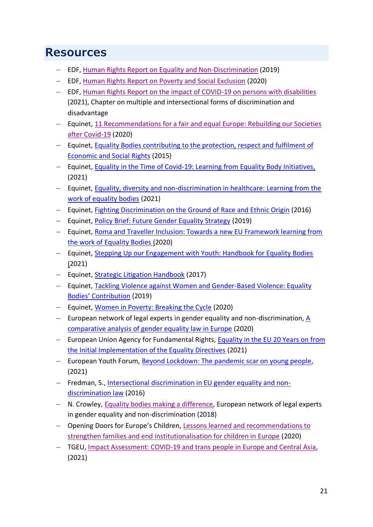# <span id="page-20-0"></span>**Resources**

- − EDF, [Human Rights Report on Equality and Non-Discrimination](https://www.edf-feph.org/publications/european-human-rights-report-2/) (2019)
- − EDF, [Human Rights Report on Poverty and Social Exclusion](https://www.edf-feph.org/publications/european-human-rights-report/) (2020)
- − EDF, [Human Rights Report on the impact of COVID-19 on persons with disabilities](https://www.edf-feph.org/publications/human-rights-report-2021-impact-of-covid19-on-persons-with-disabilities/) (2021), Chapter on multiple and intersectional forms of discrimination and disadvantage
- − Equinet, [11 Recommendations for a fair and equal Europe: Rebuilding our Societies](https://equineteurope.org/wp-content/uploads/2020/06/equinet_rebuilding-recommendation_A4_03-web.pdf)  [after Covid-19](https://equineteurope.org/wp-content/uploads/2020/06/equinet_rebuilding-recommendation_A4_03-web.pdf) (2020)
- − Equinet, [Equality Bodies contributing to the protection, respect and fulfilment](https://equineteurope.org/wp-content/uploads/2016/02/economic_and_social_rights_electronic.pdf) of [Economic and Social Rights](https://equineteurope.org/wp-content/uploads/2016/02/economic_and_social_rights_electronic.pdf) (2015)
- − Equinet, [Equality in the Time of Covid-19: Learning from Equality Body Initiatives,](https://equineteurope.org/wp-content/uploads/2021/02/Equality_Covid19_NEBs-2.pdf) (2021)
- − Equinet, [Equality, diversity and non-discrimination in healthcare: Learning from the](https://equineteurope.org/publications/equality-diversity-and-non-discrimination-in-healthcare-learning-from-the-work-of-equality-bodies/)  [work of equality bodies](https://equineteurope.org/publications/equality-diversity-and-non-discrimination-in-healthcare-learning-from-the-work-of-equality-bodies/) (2021)
- − Equinet, [Fighting Discrimination on the Ground of Race and Ethnic Origin](https://equineteurope.org/wp-content/uploads/2017/02/equinet_discussion_paper_final_-_web-2.pdf) (2016)
- − Equinet, [Policy Brief: Future Gender Equality Strategy](https://equineteurope.org/wp-content/uploads/2020/02/policy_brief_gender_strategy-1.pdf) (2019)
- − Equinet, [Roma and Traveller Inclusion: Towards a new EU Framework learning from](https://equineteurope.org/wp-content/uploads/2020/07/Roma_Traveller-Inclusion_Equality-Bodies.pdf)  [the work of Equality Bodies](https://equineteurope.org/wp-content/uploads/2020/07/Roma_Traveller-Inclusion_Equality-Bodies.pdf) (2020)
- − Equinet, [Stepping Up our Engagement with Youth: Handbook for Equality Bodies](https://equineteurope.org/wp-content/uploads/2021/09/equinet_youth-handbook_web_01.pdf) (2021)
- − Equinet, [Strategic Litigation Handbook](https://equineteurope.org/publications/strategic-litigation-handbook/) (2017)
- − Equinet, [Tackling Violence against Women and Gender-Based Violence: Equality](https://equineteurope.org/wp-content/uploads/2019/11/Violence-against-Women-and-Gender-based-Violence-Equality-Bodies-Contribution-FINAL.pdf)  [Bodies](https://equineteurope.org/wp-content/uploads/2019/11/Violence-against-Women-and-Gender-based-Violence-Equality-Bodies-Contribution-FINAL.pdf)['](https://equineteurope.org/wp-content/uploads/2019/11/Violence-against-Women-and-Gender-based-Violence-Equality-Bodies-Contribution-FINAL.pdf) [Contribution](https://equineteurope.org/wp-content/uploads/2019/11/Violence-against-Women-and-Gender-based-Violence-Equality-Bodies-Contribution-FINAL.pdf) (2019)
- − Equinet, [Women in Poverty: Breaking the Cycle](https://equineteurope.org/wp-content/uploads/2021/01/Women-in-Poverty-digital.pdf) (2020)
- − European network of legal experts in gender equality and non-discrimination, A [comparative analysis of gender equality law in Europe](https://op.europa.eu/en/publication-detail/-/publication/fc350c8a-b9e0-11eb-8aca-01aa75ed71a1) (2020)
- − European Union Agency for Fundamental Rights, [Equality in the EU 20 Years on from](https://fra.europa.eu/sites/default/files/fra_uploads/fra-2021-opinion-equality-directives-01-2021_en.pdf)  [the Initial Implementation of the Equality Directives](https://fra.europa.eu/sites/default/files/fra_uploads/fra-2021-opinion-equality-directives-01-2021_en.pdf) (2021)
- − European Youth Forum, [Beyond Lockdown: The pandemic scar on young people,](https://www.youthforum.org/news/beyond-lockdown-the-pandemic-scar-on-young-people) (2021)
- − Fredman, S., [Intersectional discrimination in EU gender equality and non](https://www.equalitylaw.eu/downloads/3850-intersectional-discrimination-in-eu-gender-equality-and-non-discrimination-law-pdf-731-kb)[discrimination law](https://www.equalitylaw.eu/downloads/3850-intersectional-discrimination-in-eu-gender-equality-and-non-discrimination-law-pdf-731-kb) (2016)
- − N. Crowley, [Equality bodies making a difference,](https://ec.europa.eu/info/sites/default/files/equality_bodies_making_a_difference.pdf) European network of legal experts in gender equality and non-discrimination (2018)
- − Opening Doors for Europe's Children, [Lessons learned and recommendations to](https://www.openingdoors.eu/wp-content/uploads/2020/01/OD-lessons-learned.pdf)  [strengthen families and end institutionalisation for children in Europe](https://www.openingdoors.eu/wp-content/uploads/2020/01/OD-lessons-learned.pdf) (2020)
- − TGEU, [Impact Assessment: COVID-19 and trans people in Europe and Central Asia,](https://tgeu.org/wp-content/uploads/2021/01/impact-assessment-covid19-and-trans-people-in-europe-and-central-asia.pdf) (2021)